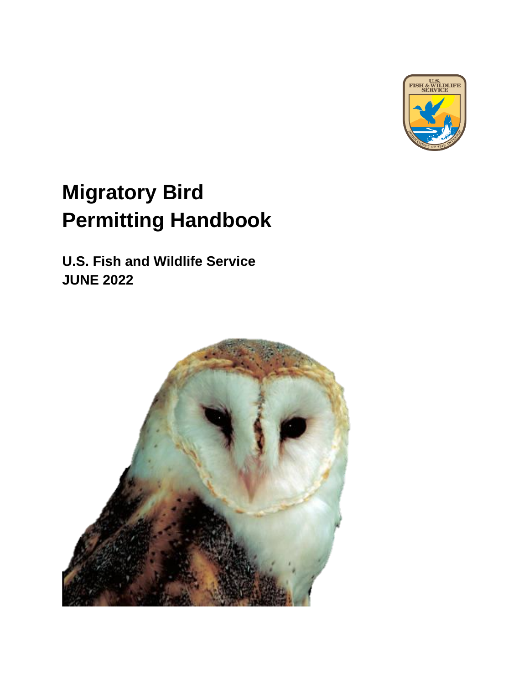

# **Migratory Bird Permitting Handbook**

**U.S. Fish and Wildlife Service JUNE 2022**

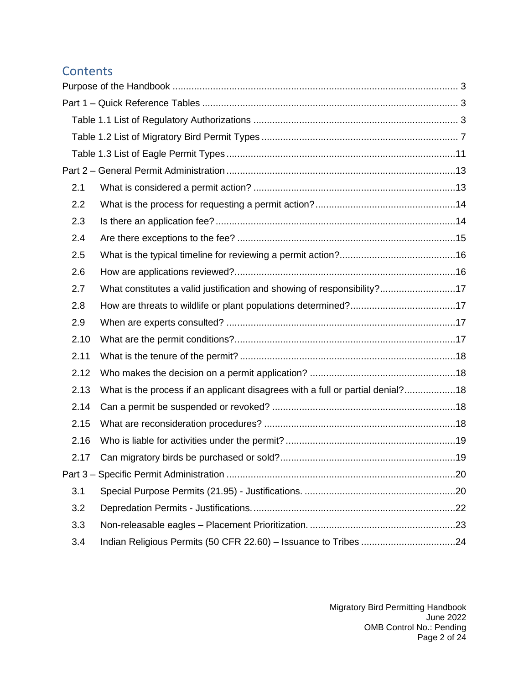# **Contents**

| 2.1  |                                                                                |  |
|------|--------------------------------------------------------------------------------|--|
| 2.2  |                                                                                |  |
| 2.3  |                                                                                |  |
| 2.4  |                                                                                |  |
| 2.5  |                                                                                |  |
| 2.6  |                                                                                |  |
| 2.7  | What constitutes a valid justification and showing of responsibility?17        |  |
| 2.8  |                                                                                |  |
| 2.9  |                                                                                |  |
| 2.10 |                                                                                |  |
| 2.11 |                                                                                |  |
| 2.12 |                                                                                |  |
| 2.13 | What is the process if an applicant disagrees with a full or partial denial?18 |  |
| 2.14 |                                                                                |  |
| 2.15 |                                                                                |  |
| 2.16 |                                                                                |  |
| 2.17 |                                                                                |  |
|      |                                                                                |  |
| 3.1  |                                                                                |  |
| 3.2  |                                                                                |  |
| 3.3  |                                                                                |  |
| 3.4  |                                                                                |  |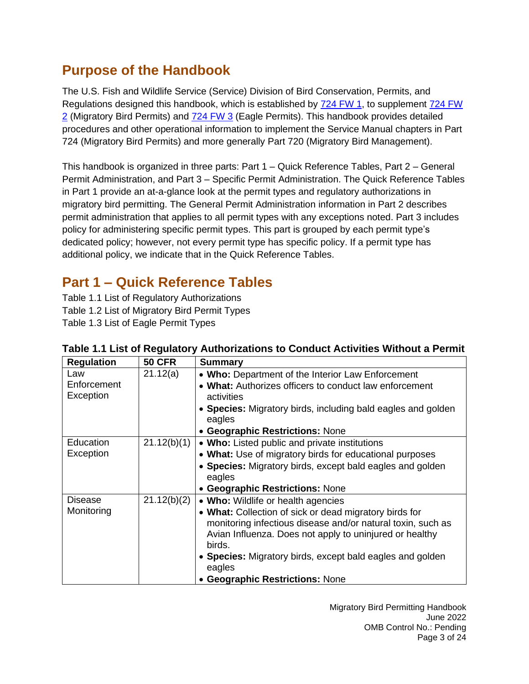# <span id="page-2-0"></span>**Purpose of the Handbook**

The U.S. Fish and Wildlife Service (Service) Division of Bird Conservation, Permits, and Regulations designed this handbook, which is established by [724 FW 1,](https://www.fws.gov/policy/724fw1.html) to supplement [724 FW](https://www.fws.gov/policy/724fw2.html)  [2](https://www.fws.gov/policy/724fw2.html) (Migratory Bird Permits) and [724 FW 3](https://www.fws.gov/policy/724fw3.html) (Eagle Permits). This handbook provides detailed procedures and other operational information to implement the Service Manual chapters in Part 724 (Migratory Bird Permits) and more generally Part 720 (Migratory Bird Management).

This handbook is organized in three parts: Part 1 – Quick Reference Tables, Part 2 – General Permit Administration, and Part 3 – Specific Permit Administration. The Quick Reference Tables in Part 1 provide an at-a-glance look at the permit types and regulatory authorizations in migratory bird permitting. The General Permit Administration information in Part 2 describes permit administration that applies to all permit types with any exceptions noted. Part 3 includes policy for administering specific permit types. This part is grouped by each permit type's dedicated policy; however, not every permit type has specific policy. If a permit type has additional policy, we indicate that in the Quick Reference Tables.

# <span id="page-2-1"></span>**Part 1 – Quick Reference Tables**

Table 1.1 List of Regulatory Authorizations Table 1.2 List of Migratory Bird Permit Types Table 1.3 List of Eagle Permit Types

| <b>Regulation</b> | <b>50 CFR</b> | <b>Summary</b>                                               |
|-------------------|---------------|--------------------------------------------------------------|
| Law               | 21.12(a)      | • Who: Department of the Interior Law Enforcement            |
| Enforcement       |               | • What: Authorizes officers to conduct law enforcement       |
| Exception         |               | activities                                                   |
|                   |               | • Species: Migratory birds, including bald eagles and golden |
|                   |               | eagles                                                       |
|                   |               | • Geographic Restrictions: None                              |
| Education         | 21.12(b)(1)   | <b>Who:</b> Listed public and private institutions           |
| Exception         |               | • What: Use of migratory birds for educational purposes      |
|                   |               | • Species: Migratory birds, except bald eagles and golden    |
|                   |               | eagles                                                       |
|                   |               | • Geographic Restrictions: None                              |
| <b>Disease</b>    | 21.12(b)(2)   | • Who: Wildlife or health agencies                           |
| Monitoring        |               | • What: Collection of sick or dead migratory birds for       |
|                   |               | monitoring infectious disease and/or natural toxin, such as  |
|                   |               | Avian Influenza. Does not apply to uninjured or healthy      |
|                   |               | birds.                                                       |
|                   |               | • Species: Migratory birds, except bald eagles and golden    |
|                   |               | eagles                                                       |
|                   |               | • Geographic Restrictions: None                              |

# <span id="page-2-2"></span>**Table 1.1 List of Regulatory Authorizations to Conduct Activities Without a Permit**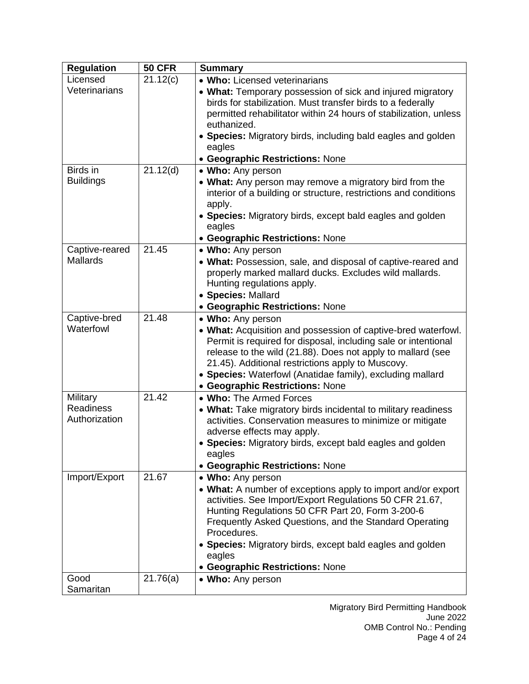| <b>Regulation</b>                 | <b>50 CFR</b> | <b>Summary</b>                                                                                                                                                                                                                                                                                                                                                                      |
|-----------------------------------|---------------|-------------------------------------------------------------------------------------------------------------------------------------------------------------------------------------------------------------------------------------------------------------------------------------------------------------------------------------------------------------------------------------|
| Licensed                          | 21.12(c)      | • Who: Licensed veterinarians                                                                                                                                                                                                                                                                                                                                                       |
| Veterinarians                     |               | • What: Temporary possession of sick and injured migratory<br>birds for stabilization. Must transfer birds to a federally<br>permitted rehabilitator within 24 hours of stabilization, unless<br>euthanized.<br>• Species: Migratory birds, including bald eagles and golden                                                                                                        |
|                                   |               | eagles                                                                                                                                                                                                                                                                                                                                                                              |
|                                   |               | • Geographic Restrictions: None                                                                                                                                                                                                                                                                                                                                                     |
| Birds in<br><b>Buildings</b>      | 21.12(d)      | • Who: Any person<br>• What: Any person may remove a migratory bird from the<br>interior of a building or structure, restrictions and conditions<br>apply.<br>• Species: Migratory birds, except bald eagles and golden<br>eagles                                                                                                                                                   |
|                                   |               | • Geographic Restrictions: None                                                                                                                                                                                                                                                                                                                                                     |
| Captive-reared<br><b>Mallards</b> | 21.45         | • Who: Any person<br>• What: Possession, sale, and disposal of captive-reared and<br>properly marked mallard ducks. Excludes wild mallards.<br>Hunting regulations apply.<br>· Species: Mallard<br>• Geographic Restrictions: None                                                                                                                                                  |
| Captive-bred                      | 21.48         | • Who: Any person                                                                                                                                                                                                                                                                                                                                                                   |
| Waterfowl                         |               | • What: Acquisition and possession of captive-bred waterfowl.<br>Permit is required for disposal, including sale or intentional<br>release to the wild (21.88). Does not apply to mallard (see<br>21.45). Additional restrictions apply to Muscovy.<br>• Species: Waterfowl (Anatidae family), excluding mallard<br>• Geographic Restrictions: None                                 |
| Military                          | 21.42         | . Who: The Armed Forces                                                                                                                                                                                                                                                                                                                                                             |
| <b>Readiness</b><br>Authorization |               | • What: Take migratory birds incidental to military readiness<br>activities. Conservation measures to minimize or mitigate<br>adverse effects may apply.<br>• Species: Migratory birds, except bald eagles and golden<br>eagles                                                                                                                                                     |
|                                   | 21.67         | • Geographic Restrictions: None                                                                                                                                                                                                                                                                                                                                                     |
| Import/Export                     |               | • Who: Any person<br>• What: A number of exceptions apply to import and/or export<br>activities. See Import/Export Regulations 50 CFR 21.67,<br>Hunting Regulations 50 CFR Part 20, Form 3-200-6<br>Frequently Asked Questions, and the Standard Operating<br>Procedures.<br>• Species: Migratory birds, except bald eagles and golden<br>eagles<br>• Geographic Restrictions: None |
| Good                              | 21.76(a)      | • Who: Any person                                                                                                                                                                                                                                                                                                                                                                   |
| Samaritan                         |               |                                                                                                                                                                                                                                                                                                                                                                                     |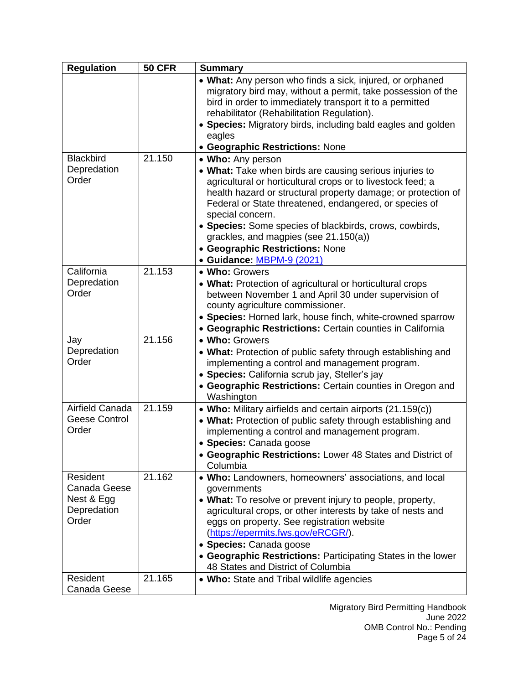| <b>Regulation</b>                                              | <b>50 CFR</b> | <b>Summary</b>                                                                                                                                                                                                                                                                                                                                                                                                                                                 |
|----------------------------------------------------------------|---------------|----------------------------------------------------------------------------------------------------------------------------------------------------------------------------------------------------------------------------------------------------------------------------------------------------------------------------------------------------------------------------------------------------------------------------------------------------------------|
|                                                                |               | • What: Any person who finds a sick, injured, or orphaned<br>migratory bird may, without a permit, take possession of the<br>bird in order to immediately transport it to a permitted<br>rehabilitator (Rehabilitation Regulation).<br>• Species: Migratory birds, including bald eagles and golden<br>eagles<br>• Geographic Restrictions: None                                                                                                               |
| <b>Blackbird</b><br>Depredation<br>Order                       | 21.150        | • Who: Any person<br>• What: Take when birds are causing serious injuries to<br>agricultural or horticultural crops or to livestock feed; a<br>health hazard or structural property damage; or protection of<br>Federal or State threatened, endangered, or species of<br>special concern.<br>• Species: Some species of blackbirds, crows, cowbirds,<br>grackles, and magpies (see 21.150(a))<br>• Geographic Restrictions: None<br>• Guidance: MBPM-9 (2021) |
| California<br>Depredation<br>Order                             | 21.153        | • Who: Growers<br>• What: Protection of agricultural or horticultural crops<br>between November 1 and April 30 under supervision of<br>county agriculture commissioner.<br>• Species: Horned lark, house finch, white-crowned sparrow<br>• Geographic Restrictions: Certain counties in California                                                                                                                                                             |
| Jay<br>Depredation<br>Order                                    | 21.156        | • Who: Growers<br>• What: Protection of public safety through establishing and<br>implementing a control and management program.<br>• Species: California scrub jay, Steller's jay<br>• Geographic Restrictions: Certain counties in Oregon and<br>Washington                                                                                                                                                                                                  |
| Airfield Canada<br><b>Geese Control</b><br>Order               | 21.159        | • Who: Military airfields and certain airports (21.159(c))<br>• What: Protection of public safety through establishing and<br>implementing a control and management program.<br>• Species: Canada goose<br>• Geographic Restrictions: Lower 48 States and District of<br>Columbia                                                                                                                                                                              |
| Resident<br>Canada Geese<br>Nest & Egg<br>Depredation<br>Order | 21.162        | • Who: Landowners, homeowners' associations, and local<br>governments<br>• What: To resolve or prevent injury to people, property,<br>agricultural crops, or other interests by take of nests and<br>eggs on property. See registration website<br>(https://epermits.fws.gov/eRCGR/).<br>• Species: Canada goose<br>• Geographic Restrictions: Participating States in the lower<br>48 States and District of Columbia                                         |
| Resident<br>Canada Geese                                       | 21.165        | • Who: State and Tribal wildlife agencies                                                                                                                                                                                                                                                                                                                                                                                                                      |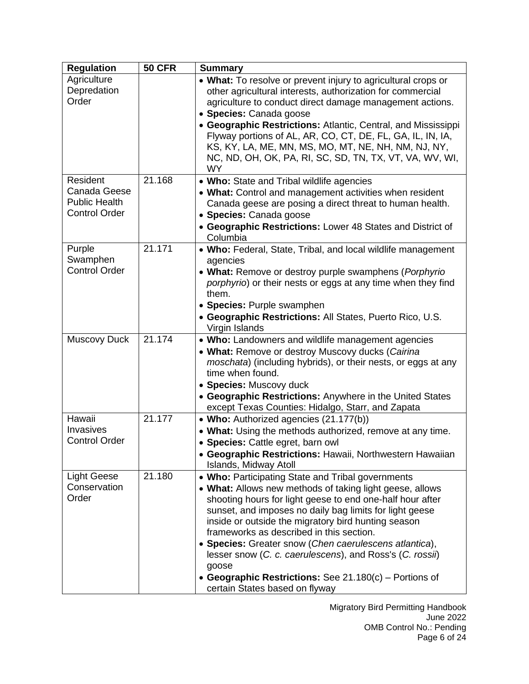| <b>Regulation</b>                                                        | <b>50 CFR</b> | <b>Summary</b>                                                                                                                                                                                                                                                                                                                                                                                                                                                                                                                                                      |
|--------------------------------------------------------------------------|---------------|---------------------------------------------------------------------------------------------------------------------------------------------------------------------------------------------------------------------------------------------------------------------------------------------------------------------------------------------------------------------------------------------------------------------------------------------------------------------------------------------------------------------------------------------------------------------|
| Agriculture<br>Depredation<br>Order                                      |               | • What: To resolve or prevent injury to agricultural crops or<br>other agricultural interests, authorization for commercial<br>agriculture to conduct direct damage management actions.<br>• Species: Canada goose<br>• Geographic Restrictions: Atlantic, Central, and Mississippi<br>Flyway portions of AL, AR, CO, CT, DE, FL, GA, IL, IN, IA,<br>KS, KY, LA, ME, MN, MS, MO, MT, NE, NH, NM, NJ, NY,<br>NC, ND, OH, OK, PA, RI, SC, SD, TN, TX, VT, VA, WV, WI,<br><b>WY</b>                                                                                    |
| Resident<br>Canada Geese<br><b>Public Health</b><br><b>Control Order</b> | 21.168        | • Who: State and Tribal wildlife agencies<br>• What: Control and management activities when resident<br>Canada geese are posing a direct threat to human health.<br>• Species: Canada goose<br>• Geographic Restrictions: Lower 48 States and District of<br>Columbia                                                                                                                                                                                                                                                                                               |
| Purple<br>Swamphen<br><b>Control Order</b>                               | 21.171        | • Who: Federal, State, Tribal, and local wildlife management<br>agencies<br>• What: Remove or destroy purple swamphens (Porphyrio<br>porphyrio) or their nests or eggs at any time when they find<br>them.<br>• Species: Purple swamphen<br>• Geographic Restrictions: All States, Puerto Rico, U.S.<br>Virgin Islands                                                                                                                                                                                                                                              |
| <b>Muscovy Duck</b>                                                      | 21.174        | • Who: Landowners and wildlife management agencies<br>• What: Remove or destroy Muscovy ducks (Cairina<br><i>moschata</i> ) (including hybrids), or their nests, or eggs at any<br>time when found.<br>• Species: Muscovy duck<br>• Geographic Restrictions: Anywhere in the United States<br>except Texas Counties: Hidalgo, Starr, and Zapata                                                                                                                                                                                                                     |
| Hawaii<br>Invasives<br><b>Control Order</b>                              | 21.177        | • Who: Authorized agencies (21.177(b))<br>• What: Using the methods authorized, remove at any time.<br>• Species: Cattle egret, barn owl<br>• Geographic Restrictions: Hawaii, Northwestern Hawaiian<br>Islands, Midway Atoll                                                                                                                                                                                                                                                                                                                                       |
| <b>Light Geese</b><br>Conservation<br>Order                              | 21.180        | • Who: Participating State and Tribal governments<br>• What: Allows new methods of taking light geese, allows<br>shooting hours for light geese to end one-half hour after<br>sunset, and imposes no daily bag limits for light geese<br>inside or outside the migratory bird hunting season<br>frameworks as described in this section.<br>• Species: Greater snow (Chen caerulescens atlantica),<br>lesser snow (C. c. caerulescens), and Ross's (C. rossii)<br>goose<br>• Geographic Restrictions: See 21.180(c) – Portions of<br>certain States based on flyway |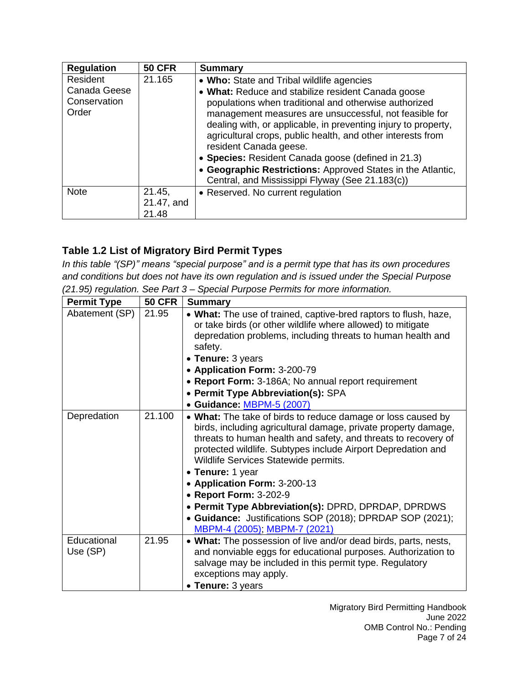| <b>Regulation</b>                                 | <b>50 CFR</b> | <b>Summary</b>                                                                                                                                                                                                                                                                       |
|---------------------------------------------------|---------------|--------------------------------------------------------------------------------------------------------------------------------------------------------------------------------------------------------------------------------------------------------------------------------------|
| Resident<br>Canada Geese<br>Conservation<br>Order | 21.165        | • Who: State and Tribal wildlife agencies<br>• What: Reduce and stabilize resident Canada goose<br>populations when traditional and otherwise authorized<br>management measures are unsuccessful, not feasible for<br>dealing with, or applicable, in preventing injury to property, |
|                                                   |               | agricultural crops, public health, and other interests from<br>resident Canada geese.                                                                                                                                                                                                |
|                                                   |               | • Species: Resident Canada goose (defined in 21.3)                                                                                                                                                                                                                                   |
|                                                   |               | • Geographic Restrictions: Approved States in the Atlantic,<br>Central, and Mississippi Flyway (See 21.183(c))                                                                                                                                                                       |
| <b>Note</b>                                       | 21.45,        | • Reserved. No current regulation                                                                                                                                                                                                                                                    |
|                                                   | 21.47, and    |                                                                                                                                                                                                                                                                                      |
|                                                   | 21.48         |                                                                                                                                                                                                                                                                                      |

# <span id="page-6-0"></span>**Table 1.2 List of Migratory Bird Permit Types**

*In this table "(SP)" means "special purpose" and is a permit type that has its own procedures and conditions but does not have its own regulation and is issued under the Special Purpose (21.95) regulation. See Part 3 – Special Purpose Permits for more information.*

| <b>Permit Type</b>      | <b>50 CFR</b> | <b>Summary</b>                                                                                                                                                                                                                                                                                                                                                                                                                                                                                                                                    |
|-------------------------|---------------|---------------------------------------------------------------------------------------------------------------------------------------------------------------------------------------------------------------------------------------------------------------------------------------------------------------------------------------------------------------------------------------------------------------------------------------------------------------------------------------------------------------------------------------------------|
| Abatement (SP)          | 21.95         | • What: The use of trained, captive-bred raptors to flush, haze,<br>or take birds (or other wildlife where allowed) to mitigate<br>depredation problems, including threats to human health and<br>safety.<br>• Tenure: 3 years<br>• Application Form: 3-200-79<br>• Report Form: 3-186A; No annual report requirement<br>• Permit Type Abbreviation(s): SPA<br>• Guidance: MBPM-5 (2007)                                                                                                                                                          |
| Depredation             | 21.100        | • What: The take of birds to reduce damage or loss caused by<br>birds, including agricultural damage, private property damage,<br>threats to human health and safety, and threats to recovery of<br>protected wildlife. Subtypes include Airport Depredation and<br>Wildlife Services Statewide permits.<br>• Tenure: 1 year<br>• Application Form: 3-200-13<br>• Report Form: 3-202-9<br>• Permit Type Abbreviation(s): DPRD, DPRDAP, DPRDWS<br>• Guidance: Justifications SOP (2018); DPRDAP SOP (2021);<br><u>MBPM-4 (2005); MBPM-7 (2021)</u> |
| Educational<br>Use (SP) | 21.95         | • What: The possession of live and/or dead birds, parts, nests,<br>and nonviable eggs for educational purposes. Authorization to<br>salvage may be included in this permit type. Regulatory<br>exceptions may apply.<br>• Tenure: 3 years                                                                                                                                                                                                                                                                                                         |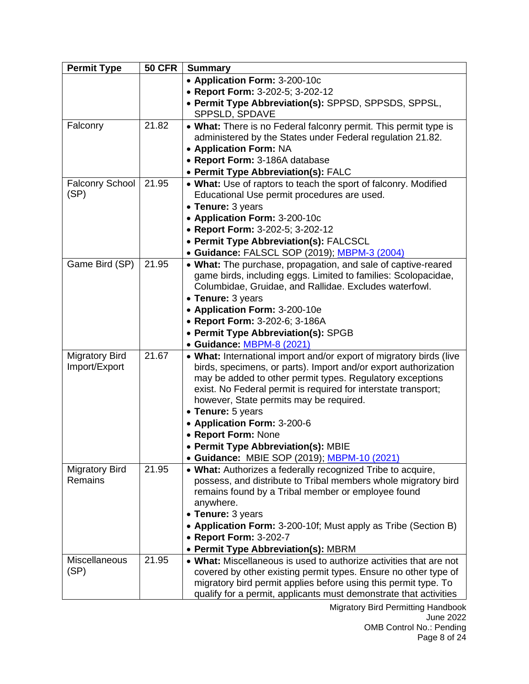| <b>Permit Type</b>     | <b>50 CFR</b> | <b>Summary</b>                                                      |
|------------------------|---------------|---------------------------------------------------------------------|
|                        |               | • Application Form: 3-200-10c                                       |
|                        |               | • Report Form: 3-202-5; 3-202-12                                    |
|                        |               | • Permit Type Abbreviation(s): SPPSD, SPPSDS, SPPSL,                |
|                        |               | SPPSLD, SPDAVE                                                      |
| Falconry               | 21.82         | • What: There is no Federal falconry permit. This permit type is    |
|                        |               | administered by the States under Federal regulation 21.82.          |
|                        |               | • Application Form: NA                                              |
|                        |               | • Report Form: 3-186A database                                      |
|                        |               | • Permit Type Abbreviation(s): FALC                                 |
| <b>Falconry School</b> | 21.95         | . What: Use of raptors to teach the sport of falconry. Modified     |
| (SP)                   |               | Educational Use permit procedures are used.                         |
|                        |               | • Tenure: 3 years                                                   |
|                        |               | • Application Form: 3-200-10c                                       |
|                        |               | • Report Form: 3-202-5; 3-202-12                                    |
|                        |               | • Permit Type Abbreviation(s): FALCSCL                              |
|                        |               | • Guidance: FALSCL SOP (2019); MBPM-3 (2004)                        |
| Game Bird (SP)         | 21.95         | • What: The purchase, propagation, and sale of captive-reared       |
|                        |               | game birds, including eggs. Limited to families: Scolopacidae,      |
|                        |               | Columbidae, Gruidae, and Rallidae. Excludes waterfowl.              |
|                        |               | • Tenure: 3 years<br>• Application Form: 3-200-10e                  |
|                        |               | • Report Form: 3-202-6; 3-186A                                      |
|                        |               | • Permit Type Abbreviation(s): SPGB                                 |
|                        |               | · Guidance: MBPM-8 (2021)                                           |
| <b>Migratory Bird</b>  | 21.67         | • What: International import and/or export of migratory birds (live |
| Import/Export          |               | birds, specimens, or parts). Import and/or export authorization     |
|                        |               | may be added to other permit types. Regulatory exceptions           |
|                        |               | exist. No Federal permit is required for interstate transport;      |
|                        |               | however, State permits may be required.                             |
|                        |               | • Tenure: 5 years                                                   |
|                        |               | • Application Form: 3-200-6                                         |
|                        |               | • Report Form: None                                                 |
|                        |               | • Permit Type Abbreviation(s): MBIE                                 |
|                        |               | • Guidance: MBIE SOP (2019); MBPM-10 (2021)                         |
| <b>Migratory Bird</b>  | 21.95         | • What: Authorizes a federally recognized Tribe to acquire,         |
| <b>Remains</b>         |               | possess, and distribute to Tribal members whole migratory bird      |
|                        |               | remains found by a Tribal member or employee found                  |
|                        |               | anywhere.                                                           |
|                        |               | • Tenure: 3 years                                                   |
|                        |               | • Application Form: 3-200-10f; Must apply as Tribe (Section B)      |
|                        |               | • Report Form: 3-202-7                                              |
|                        |               | <b>Permit Type Abbreviation(s): MBRM</b>                            |
| Miscellaneous          | 21.95         | • What: Miscellaneous is used to authorize activities that are not  |
| (SP)                   |               | covered by other existing permit types. Ensure no other type of     |
|                        |               | migratory bird permit applies before using this permit type. To     |
|                        |               | qualify for a permit, applicants must demonstrate that activities   |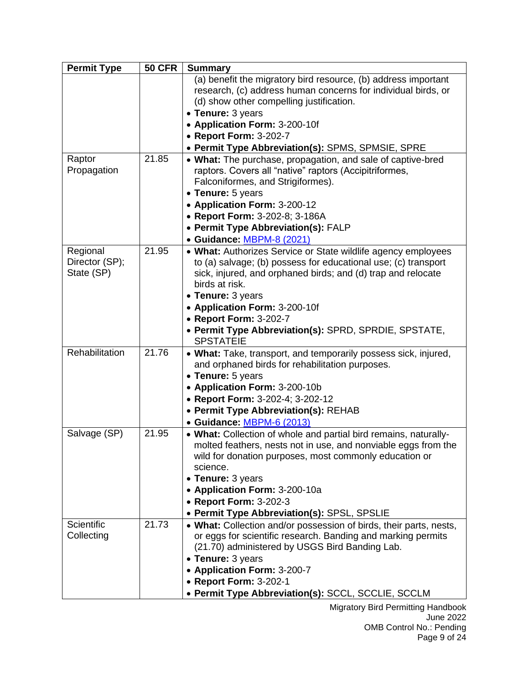| <b>Permit Type</b> | <b>50 CFR</b> | <b>Summary</b>                                                                                                           |
|--------------------|---------------|--------------------------------------------------------------------------------------------------------------------------|
|                    |               | (a) benefit the migratory bird resource, (b) address important                                                           |
|                    |               | research, (c) address human concerns for individual birds, or                                                            |
|                    |               | (d) show other compelling justification.                                                                                 |
|                    |               | • Tenure: 3 years<br>• Application Form: 3-200-10f                                                                       |
|                    |               | • Report Form: 3-202-7                                                                                                   |
|                    |               | • Permit Type Abbreviation(s): SPMS, SPMSIE, SPRE                                                                        |
| Raptor             | 21.85         | • What: The purchase, propagation, and sale of captive-bred                                                              |
| Propagation        |               | raptors. Covers all "native" raptors (Accipitriformes,                                                                   |
|                    |               | Falconiformes, and Strigiformes).                                                                                        |
|                    |               | • Tenure: 5 years                                                                                                        |
|                    |               | • Application Form: 3-200-12                                                                                             |
|                    |               | • Report Form: 3-202-8; 3-186A                                                                                           |
|                    |               | • Permit Type Abbreviation(s): FALP                                                                                      |
|                    |               | · Guidance: MBPM-8 (2021)                                                                                                |
| Regional           | 21.95         | • What: Authorizes Service or State wildlife agency employees                                                            |
| Director (SP);     |               | to (a) salvage; (b) possess for educational use; (c) transport                                                           |
| State (SP)         |               | sick, injured, and orphaned birds; and (d) trap and relocate                                                             |
|                    |               | birds at risk.                                                                                                           |
|                    |               | • Tenure: 3 years                                                                                                        |
|                    |               | • Application Form: 3-200-10f                                                                                            |
|                    |               | • Report Form: 3-202-7                                                                                                   |
|                    |               | • Permit Type Abbreviation(s): SPRD, SPRDIE, SPSTATE,<br><b>SPSTATEIE</b>                                                |
| Rehabilitation     | 21.76         | • What: Take, transport, and temporarily possess sick, injured,                                                          |
|                    |               | and orphaned birds for rehabilitation purposes.                                                                          |
|                    |               | • Tenure: 5 years                                                                                                        |
|                    |               | • Application Form: 3-200-10b                                                                                            |
|                    |               | • Report Form: 3-202-4; 3-202-12                                                                                         |
|                    |               | • Permit Type Abbreviation(s): REHAB                                                                                     |
|                    |               | • Guidance: MBPM-6 (2013)                                                                                                |
| Salvage (SP)       | 21.95         | • What: Collection of whole and partial bird remains, naturally-                                                         |
|                    |               | molted feathers, nests not in use, and nonviable eggs from the<br>wild for donation purposes, most commonly education or |
|                    |               | science.                                                                                                                 |
|                    |               | • Tenure: 3 years                                                                                                        |
|                    |               | • Application Form: 3-200-10a                                                                                            |
|                    |               | • Report Form: 3-202-3                                                                                                   |
|                    |               | • Permit Type Abbreviation(s): SPSL, SPSLIE                                                                              |
| <b>Scientific</b>  | 21.73         | • What: Collection and/or possession of birds, their parts, nests,                                                       |
| Collecting         |               | or eggs for scientific research. Banding and marking permits                                                             |
|                    |               | (21.70) administered by USGS Bird Banding Lab.                                                                           |
|                    |               | • Tenure: 3 years                                                                                                        |
|                    |               | • Application Form: 3-200-7                                                                                              |
|                    |               | • Report Form: 3-202-1                                                                                                   |
|                    |               | • Permit Type Abbreviation(s): SCCL, SCCLIE, SCCLM                                                                       |

Migratory Bird Permitting Handbook June 2022 OMB Control No.: Pending Page 9 of 24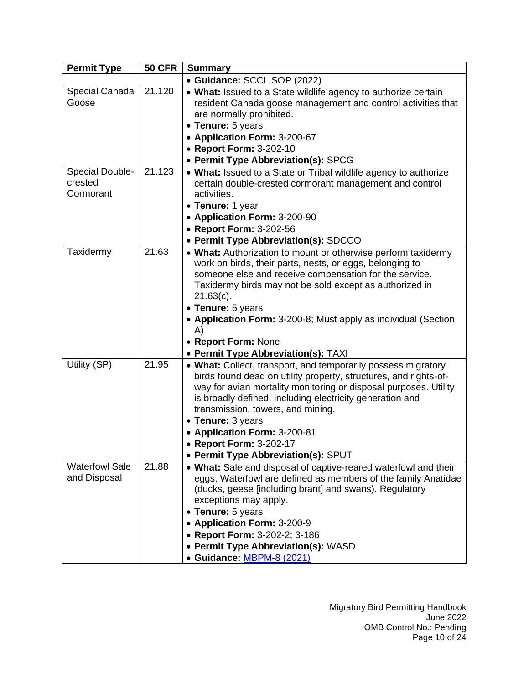| <b>Permit Type</b>     | <b>50 CFR</b> | <b>Summary</b>                                                       |
|------------------------|---------------|----------------------------------------------------------------------|
|                        |               | • Guidance: SCCL SOP (2022)                                          |
| Special Canada         | 21.120        | • What: Issued to a State wildlife agency to authorize certain       |
| Goose                  |               | resident Canada goose management and control activities that         |
|                        |               | are normally prohibited.                                             |
|                        |               | • Tenure: 5 years                                                    |
|                        |               | • Application Form: 3-200-67                                         |
|                        |               | • Report Form: 3-202-10                                              |
|                        |               | • Permit Type Abbreviation(s): SPCG                                  |
| <b>Special Double-</b> | 21.123        | • What: Issued to a State or Tribal wildlife agency to authorize     |
| crested                |               | certain double-crested cormorant management and control              |
| Cormorant              |               | activities.                                                          |
|                        |               | • Tenure: 1 year                                                     |
|                        |               | • Application Form: 3-200-90                                         |
|                        |               | • Report Form: 3-202-56                                              |
|                        |               | • Permit Type Abbreviation(s): SDCCO                                 |
| Taxidermy              | 21.63         | • What: Authorization to mount or otherwise perform taxidermy        |
|                        |               | work on birds, their parts, nests, or eggs, belonging to             |
|                        |               | someone else and receive compensation for the service.               |
|                        |               | Taxidermy birds may not be sold except as authorized in              |
|                        |               | $21.63(c)$ .                                                         |
|                        |               | • Tenure: 5 years                                                    |
|                        |               | • Application Form: 3-200-8; Must apply as individual (Section<br>A) |
|                        |               | • Report Form: None                                                  |
|                        |               | • Permit Type Abbreviation(s): TAXI                                  |
| Utility (SP)           | 21.95         | • What: Collect, transport, and temporarily possess migratory        |
|                        |               | birds found dead on utility property, structures, and rights-of-     |
|                        |               | way for avian mortality monitoring or disposal purposes. Utility     |
|                        |               | is broadly defined, including electricity generation and             |
|                        |               | transmission, towers, and mining.                                    |
|                        |               | • Tenure: 3 years                                                    |
|                        |               | • Application Form: 3-200-81                                         |
|                        |               | • Report Form: 3-202-17                                              |
|                        |               | • Permit Type Abbreviation(s): SPUT                                  |
| <b>Waterfowl Sale</b>  | 21.88         | . What: Sale and disposal of captive-reared waterfowl and their      |
| and Disposal           |               | eggs. Waterfowl are defined as members of the family Anatidae        |
|                        |               | (ducks, geese [including brant] and swans). Regulatory               |
|                        |               | exceptions may apply.                                                |
|                        |               | • Tenure: 5 years                                                    |
|                        |               | • Application Form: 3-200-9                                          |
|                        |               | • Report Form: 3-202-2; 3-186                                        |
|                        |               | • Permit Type Abbreviation(s): WASD                                  |
|                        |               | • Guidance: MBPM-8 (2021)                                            |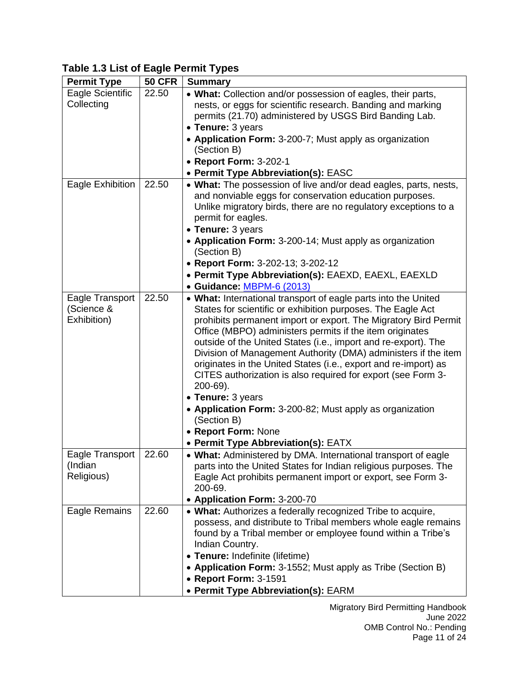# <span id="page-10-0"></span>**Table 1.3 List of Eagle Permit Types**

| <b>Permit Type</b> | <b>50 CFR</b> | <b>Summary</b>                                                           |
|--------------------|---------------|--------------------------------------------------------------------------|
| Eagle Scientific   | 22.50         | • What: Collection and/or possession of eagles, their parts,             |
| Collecting         |               | nests, or eggs for scientific research. Banding and marking              |
|                    |               | permits (21.70) administered by USGS Bird Banding Lab.                   |
|                    |               | • Tenure: 3 years                                                        |
|                    |               | • Application Form: 3-200-7; Must apply as organization                  |
|                    |               | (Section B)                                                              |
|                    |               | • Report Form: 3-202-1                                                   |
|                    |               | • Permit Type Abbreviation(s): EASC                                      |
| Eagle Exhibition   | 22.50         | • What: The possession of live and/or dead eagles, parts, nests,         |
|                    |               | and nonviable eggs for conservation education purposes.                  |
|                    |               | Unlike migratory birds, there are no regulatory exceptions to a          |
|                    |               | permit for eagles.                                                       |
|                    |               | • Tenure: 3 years                                                        |
|                    |               | • Application Form: 3-200-14; Must apply as organization                 |
|                    |               | (Section B)                                                              |
|                    |               | • Report Form: 3-202-13; 3-202-12                                        |
|                    |               | • Permit Type Abbreviation(s): EAEXD, EAEXL, EAEXLD                      |
|                    |               | · Guidance: MBPM-6 (2013)                                                |
| Eagle Transport    | 22.50         | • What: International transport of eagle parts into the United           |
| (Science &         |               | States for scientific or exhibition purposes. The Eagle Act              |
| Exhibition)        |               | prohibits permanent import or export. The Migratory Bird Permit          |
|                    |               | Office (MBPO) administers permits if the item originates                 |
|                    |               | outside of the United States (i.e., import and re-export). The           |
|                    |               | Division of Management Authority (DMA) administers if the item           |
|                    |               | originates in the United States (i.e., export and re-import) as          |
|                    |               | CITES authorization is also required for export (see Form 3-<br>200-69). |
|                    |               | • Tenure: 3 years                                                        |
|                    |               | • Application Form: 3-200-82; Must apply as organization                 |
|                    |               | (Section B)                                                              |
|                    |               | • Report Form: None                                                      |
|                    |               | • Permit Type Abbreviation(s): EATX                                      |
| Eagle Transport    | 22.60         | • What: Administered by DMA. International transport of eagle            |
| (Indian            |               | parts into the United States for Indian religious purposes. The          |
| Religious)         |               | Eagle Act prohibits permanent import or export, see Form 3-              |
|                    |               | 200-69.                                                                  |
|                    |               | • Application Form: 3-200-70                                             |
| Eagle Remains      | 22.60         | • What: Authorizes a federally recognized Tribe to acquire,              |
|                    |               | possess, and distribute to Tribal members whole eagle remains            |
|                    |               | found by a Tribal member or employee found within a Tribe's              |
|                    |               | Indian Country.                                                          |
|                    |               | • Tenure: Indefinite (lifetime)                                          |
|                    |               | • Application Form: 3-1552; Must apply as Tribe (Section B)              |
|                    |               | • Report Form: 3-1591                                                    |
|                    |               | • Permit Type Abbreviation(s): EARM                                      |

Migratory Bird Permitting Handbook June 2022 OMB Control No.: Pending Page 11 of 24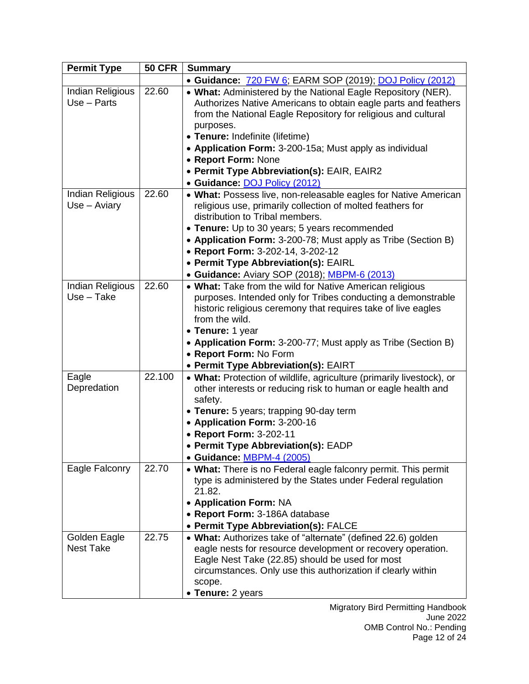| <b>Permit Type</b>                 | <b>50 CFR</b> | <b>Summary</b>                                                                                                                                                                                                                                           |
|------------------------------------|---------------|----------------------------------------------------------------------------------------------------------------------------------------------------------------------------------------------------------------------------------------------------------|
|                                    |               | • Guidance: 720 FW 6; EARM SOP (2019); DOJ Policy (2012)                                                                                                                                                                                                 |
| Indian Religious<br>$Use - Parts$  | 22.60         | • What: Administered by the National Eagle Repository (NER).<br>Authorizes Native Americans to obtain eagle parts and feathers<br>from the National Eagle Repository for religious and cultural                                                          |
|                                    |               | purposes.<br>• Tenure: Indefinite (lifetime)                                                                                                                                                                                                             |
|                                    |               | • Application Form: 3-200-15a; Must apply as individual                                                                                                                                                                                                  |
|                                    |               | • Report Form: None                                                                                                                                                                                                                                      |
|                                    |               | • Permit Type Abbreviation(s): EAIR, EAIR2                                                                                                                                                                                                               |
|                                    |               | · Guidance: DOJ Policy (2012)                                                                                                                                                                                                                            |
| Indian Religious<br>$Use - Aviary$ | 22.60         | • What: Possess live, non-releasable eagles for Native American<br>religious use, primarily collection of molted feathers for<br>distribution to Tribal members.                                                                                         |
|                                    |               | • Tenure: Up to 30 years; 5 years recommended                                                                                                                                                                                                            |
|                                    |               | • Application Form: 3-200-78; Must apply as Tribe (Section B)                                                                                                                                                                                            |
|                                    |               | • Report Form: 3-202-14, 3-202-12                                                                                                                                                                                                                        |
|                                    |               | • Permit Type Abbreviation(s): EAIRL                                                                                                                                                                                                                     |
| Indian Religious                   | 22.60         | • Guidance: Aviary SOP (2018); MBPM-6 (2013)<br>• What: Take from the wild for Native American religious                                                                                                                                                 |
| $Use - Take$                       |               | purposes. Intended only for Tribes conducting a demonstrable<br>historic religious ceremony that requires take of live eagles<br>from the wild.                                                                                                          |
|                                    |               | • Tenure: 1 year                                                                                                                                                                                                                                         |
|                                    |               | • Application Form: 3-200-77; Must apply as Tribe (Section B)<br>• Report Form: No Form                                                                                                                                                                  |
|                                    |               | • Permit Type Abbreviation(s): EAIRT                                                                                                                                                                                                                     |
| Eagle                              | 22.100        | • What: Protection of wildlife, agriculture (primarily livestock), or                                                                                                                                                                                    |
| Depredation                        |               | other interests or reducing risk to human or eagle health and<br>safety.                                                                                                                                                                                 |
|                                    |               | • Tenure: 5 years; trapping 90-day term                                                                                                                                                                                                                  |
|                                    |               | • Application Form: 3-200-16                                                                                                                                                                                                                             |
|                                    |               | • Report Form: 3-202-11                                                                                                                                                                                                                                  |
|                                    |               | • Permit Type Abbreviation(s): EADP                                                                                                                                                                                                                      |
| Eagle Falconry                     | 22.70         | • Guidance: MBPM-4 (2005)<br>• What: There is no Federal eagle falconry permit. This permit                                                                                                                                                              |
|                                    |               | type is administered by the States under Federal regulation<br>21.82.                                                                                                                                                                                    |
|                                    |               | • Application Form: NA                                                                                                                                                                                                                                   |
|                                    |               | • Report Form: 3-186A database                                                                                                                                                                                                                           |
|                                    |               | • Permit Type Abbreviation(s): FALCE                                                                                                                                                                                                                     |
| Golden Eagle<br><b>Nest Take</b>   | 22.75         | • What: Authorizes take of "alternate" (defined 22.6) golden<br>eagle nests for resource development or recovery operation.<br>Eagle Nest Take (22.85) should be used for most<br>circumstances. Only use this authorization if clearly within<br>scope. |
|                                    |               | • Tenure: 2 years                                                                                                                                                                                                                                        |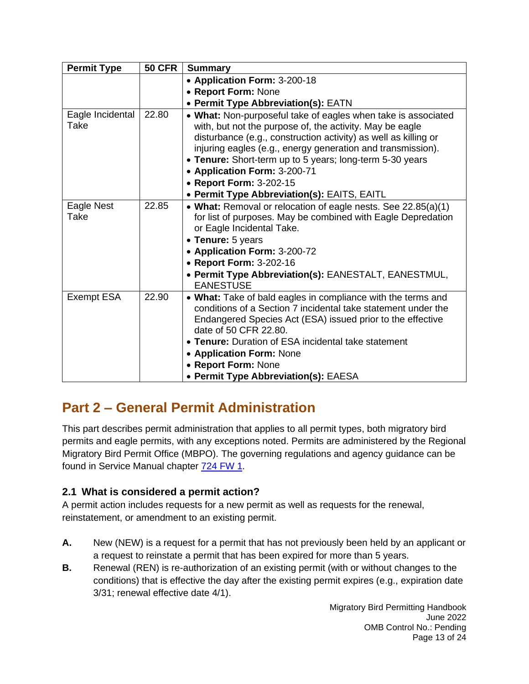| <b>Permit Type</b>       | <b>50 CFR</b> | <b>Summary</b>                                                                                                                                                                                                                                                                                                                                                                                                                    |
|--------------------------|---------------|-----------------------------------------------------------------------------------------------------------------------------------------------------------------------------------------------------------------------------------------------------------------------------------------------------------------------------------------------------------------------------------------------------------------------------------|
|                          |               | • Application Form: 3-200-18                                                                                                                                                                                                                                                                                                                                                                                                      |
|                          |               | • Report Form: None                                                                                                                                                                                                                                                                                                                                                                                                               |
|                          |               | • Permit Type Abbreviation(s): EATN                                                                                                                                                                                                                                                                                                                                                                                               |
| Eagle Incidental<br>Take | 22.80         | • What: Non-purposeful take of eagles when take is associated<br>with, but not the purpose of, the activity. May be eagle<br>disturbance (e.g., construction activity) as well as killing or<br>injuring eagles (e.g., energy generation and transmission).<br>• Tenure: Short-term up to 5 years; long-term 5-30 years<br>• Application Form: 3-200-71<br>• Report Form: 3-202-15<br>• Permit Type Abbreviation(s): EAITS, EAITL |
| Eagle Nest<br>Take       | 22.85         | • What: Removal or relocation of eagle nests. See 22.85(a)(1)<br>for list of purposes. May be combined with Eagle Depredation<br>or Eagle Incidental Take.<br>• Tenure: 5 years<br>• Application Form: 3-200-72<br>• Report Form: 3-202-16<br>• Permit Type Abbreviation(s): EANESTALT, EANESTMUL,<br><b>EANESTUSE</b>                                                                                                            |
| <b>Exempt ESA</b>        | 22.90         | • What: Take of bald eagles in compliance with the terms and<br>conditions of a Section 7 incidental take statement under the<br>Endangered Species Act (ESA) issued prior to the effective<br>date of 50 CFR 22.80.<br>• Tenure: Duration of ESA incidental take statement<br>• Application Form: None<br>• Report Form: None<br>• Permit Type Abbreviation(s): EAESA                                                            |

# <span id="page-12-0"></span>**Part 2 – General Permit Administration**

This part describes permit administration that applies to all permit types, both migratory bird permits and eagle permits, with any exceptions noted. Permits are administered by the Regional Migratory Bird Permit Office (MBPO). The governing regulations and agency guidance can be found in Service Manual chapter **724 FW 1.** 

# <span id="page-12-1"></span>**2.1 What is considered a permit action?**

A permit action includes requests for a new permit as well as requests for the renewal, reinstatement, or amendment to an existing permit.

- **A.** New (NEW) is a request for a permit that has not previously been held by an applicant or a request to reinstate a permit that has been expired for more than 5 years.
- **B.** Renewal (REN) is re-authorization of an existing permit (with or without changes to the conditions) that is effective the day after the existing permit expires (e.g., expiration date 3/31; renewal effective date 4/1).

Migratory Bird Permitting Handbook June 2022 OMB Control No.: Pending Page 13 of 24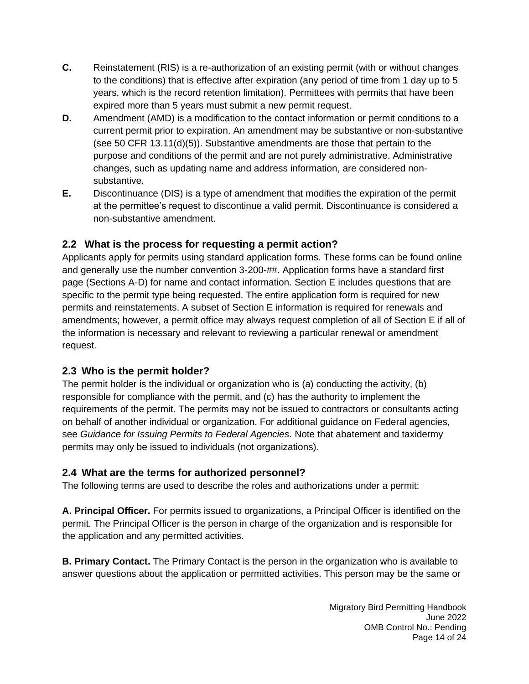- **C.** Reinstatement (RIS) is a re-authorization of an existing permit (with or without changes to the conditions) that is effective after expiration (any period of time from 1 day up to 5 years, which is the record retention limitation). Permittees with permits that have been expired more than 5 years must submit a new permit request.
- **D.** Amendment (AMD) is a modification to the contact information or permit conditions to a current permit prior to expiration. An amendment may be substantive or non-substantive (see 50 CFR 13.11(d)(5)). Substantive amendments are those that pertain to the purpose and conditions of the permit and are not purely administrative. Administrative changes, such as updating name and address information, are considered nonsubstantive.
- **E.** Discontinuance (DIS) is a type of amendment that modifies the expiration of the permit at the permittee's request to discontinue a valid permit. Discontinuance is considered a non-substantive amendment.

## <span id="page-13-0"></span>**2.2 What is the process for requesting a permit action?**

Applicants apply for permits using standard application forms. These forms can be found online and generally use the number convention 3-200-##. Application forms have a standard first page (Sections A-D) for name and contact information. Section E includes questions that are specific to the permit type being requested. The entire application form is required for new permits and reinstatements. A subset of Section E information is required for renewals and amendments; however, a permit office may always request completion of all of Section E if all of the information is necessary and relevant to reviewing a particular renewal or amendment request.

#### <span id="page-13-1"></span>**2.3 Who is the permit holder?**

The permit holder is the individual or organization who is (a) conducting the activity, (b) responsible for compliance with the permit, and (c) has the authority to implement the requirements of the permit. The permits may not be issued to contractors or consultants acting on behalf of another individual or organization. For additional guidance on Federal agencies, see *Guidance for Issuing Permits to Federal Agencies*. Note that abatement and taxidermy permits may only be issued to individuals (not organizations).

#### **2.4 What are the terms for authorized personnel?**

The following terms are used to describe the roles and authorizations under a permit:

**A. Principal Officer.** For permits issued to organizations, a Principal Officer is identified on the permit. The Principal Officer is the person in charge of the organization and is responsible for the application and any permitted activities.

**B. Primary Contact.** The Primary Contact is the person in the organization who is available to answer questions about the application or permitted activities. This person may be the same or

> Migratory Bird Permitting Handbook June 2022 OMB Control No.: Pending Page 14 of 24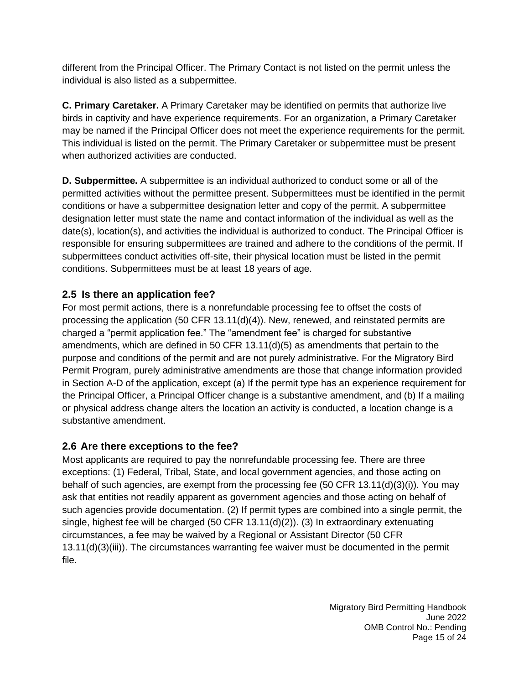different from the Principal Officer. The Primary Contact is not listed on the permit unless the individual is also listed as a subpermittee.

**C. Primary Caretaker.** A Primary Caretaker may be identified on permits that authorize live birds in captivity and have experience requirements. For an organization, a Primary Caretaker may be named if the Principal Officer does not meet the experience requirements for the permit. This individual is listed on the permit. The Primary Caretaker or subpermittee must be present when authorized activities are conducted.

**D. Subpermittee.** A subpermittee is an individual authorized to conduct some or all of the permitted activities without the permittee present. Subpermittees must be identified in the permit conditions or have a subpermittee designation letter and copy of the permit. A subpermittee designation letter must state the name and contact information of the individual as well as the date(s), location(s), and activities the individual is authorized to conduct. The Principal Officer is responsible for ensuring subpermittees are trained and adhere to the conditions of the permit. If subpermittees conduct activities off-site, their physical location must be listed in the permit conditions. Subpermittees must be at least 18 years of age.

#### **2.5 Is there an application fee?**

For most permit actions, there is a nonrefundable processing fee to offset the costs of processing the application (50 CFR 13.11(d)(4)). New, renewed, and reinstated permits are charged a "permit application fee." The "amendment fee" is charged for substantive amendments, which are defined in 50 CFR 13.11(d)(5) as amendments that pertain to the purpose and conditions of the permit and are not purely administrative. For the Migratory Bird Permit Program, purely administrative amendments are those that change information provided in Section A-D of the application, except (a) If the permit type has an experience requirement for the Principal Officer, a Principal Officer change is a substantive amendment, and (b) If a mailing or physical address change alters the location an activity is conducted, a location change is a substantive amendment.

#### <span id="page-14-0"></span>**2.6 Are there exceptions to the fee?**

Most applicants are required to pay the nonrefundable processing fee. There are three exceptions: (1) Federal, Tribal, State, and local government agencies, and those acting on behalf of such agencies, are exempt from the processing fee (50 CFR 13.11(d)(3)(i)). You may ask that entities not readily apparent as government agencies and those acting on behalf of such agencies provide documentation. (2) If permit types are combined into a single permit, the single, highest fee will be charged (50 CFR 13.11(d)(2)). (3) In extraordinary extenuating circumstances, a fee may be waived by a Regional or Assistant Director (50 CFR 13.11(d)(3)(iii)). The circumstances warranting fee waiver must be documented in the permit file.

> Migratory Bird Permitting Handbook June 2022 OMB Control No.: Pending Page 15 of 24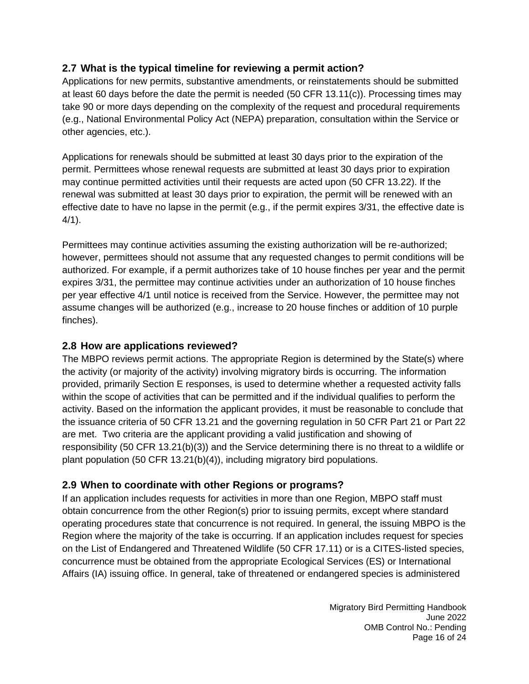#### <span id="page-15-0"></span>**2.7 What is the typical timeline for reviewing a permit action?**

Applications for new permits, substantive amendments, or reinstatements should be submitted at least 60 days before the date the permit is needed (50 CFR 13.11(c)). Processing times may take 90 or more days depending on the complexity of the request and procedural requirements (e.g., National Environmental Policy Act (NEPA) preparation, consultation within the Service or other agencies, etc.).

Applications for renewals should be submitted at least 30 days prior to the expiration of the permit. Permittees whose renewal requests are submitted at least 30 days prior to expiration may continue permitted activities until their requests are acted upon (50 CFR 13.22). If the renewal was submitted at least 30 days prior to expiration, the permit will be renewed with an effective date to have no lapse in the permit (e.g., if the permit expires 3/31, the effective date is  $4/1$ ).

Permittees may continue activities assuming the existing authorization will be re-authorized; however, permittees should not assume that any requested changes to permit conditions will be authorized. For example, if a permit authorizes take of 10 house finches per year and the permit expires 3/31, the permittee may continue activities under an authorization of 10 house finches per year effective 4/1 until notice is received from the Service. However, the permittee may not assume changes will be authorized (e.g., increase to 20 house finches or addition of 10 purple finches).

#### <span id="page-15-1"></span>**2.8 How are applications reviewed?**

The MBPO reviews permit actions. The appropriate Region is determined by the State(s) where the activity (or majority of the activity) involving migratory birds is occurring. The information provided, primarily Section E responses, is used to determine whether a requested activity falls within the scope of activities that can be permitted and if the individual qualifies to perform the activity. Based on the information the applicant provides, it must be reasonable to conclude that the issuance criteria of 50 CFR 13.21 and the governing regulation in 50 CFR Part 21 or Part 22 are met. Two criteria are the applicant providing a valid justification and showing of responsibility (50 CFR 13.21(b)(3)) and the Service determining there is no threat to a wildlife or plant population (50 CFR 13.21(b)(4)), including migratory bird populations.

#### **2.9 When to coordinate with other Regions or programs?**

If an application includes requests for activities in more than one Region, MBPO staff must obtain concurrence from the other Region(s) prior to issuing permits, except where standard operating procedures state that concurrence is not required. In general, the issuing MBPO is the Region where the majority of the take is occurring. If an application includes request for species on the List of Endangered and Threatened Wildlife (50 CFR 17.11) or is a CITES-listed species, concurrence must be obtained from the appropriate Ecological Services (ES) or International Affairs (IA) issuing office. In general, take of threatened or endangered species is administered

> Migratory Bird Permitting Handbook June 2022 OMB Control No.: Pending Page 16 of 24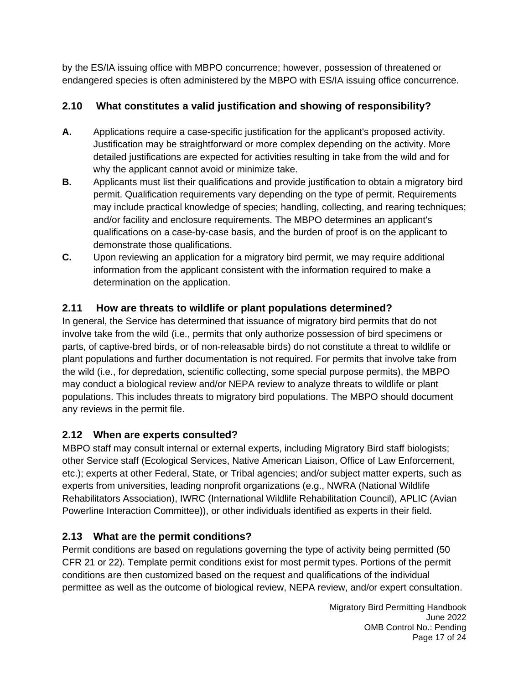by the ES/IA issuing office with MBPO concurrence; however, possession of threatened or endangered species is often administered by the MBPO with ES/IA issuing office concurrence.

# <span id="page-16-0"></span>**2.10 What constitutes a valid justification and showing of responsibility?**

- **A.** Applications require a case-specific justification for the applicant's proposed activity. Justification may be straightforward or more complex depending on the activity. More detailed justifications are expected for activities resulting in take from the wild and for why the applicant cannot avoid or minimize take.
- **B.** Applicants must list their qualifications and provide justification to obtain a migratory bird permit. Qualification requirements vary depending on the type of permit. Requirements may include practical knowledge of species; handling, collecting, and rearing techniques; and/or facility and enclosure requirements. The MBPO determines an applicant's qualifications on a case-by-case basis, and the burden of proof is on the applicant to demonstrate those qualifications.
- **C.** Upon reviewing an application for a migratory bird permit, we may require additional information from the applicant consistent with the information required to make a determination on the application.

# <span id="page-16-1"></span>**2.11 How are threats to wildlife or plant populations determined?**

In general, the Service has determined that issuance of migratory bird permits that do not involve take from the wild (i.e., permits that only authorize possession of bird specimens or parts, of captive-bred birds, or of non-releasable birds) do not constitute a threat to wildlife or plant populations and further documentation is not required. For permits that involve take from the wild (i.e., for depredation, scientific collecting, some special purpose permits), the MBPO may conduct a biological review and/or NEPA review to analyze threats to wildlife or plant populations. This includes threats to migratory bird populations. The MBPO should document any reviews in the permit file.

# <span id="page-16-2"></span>**2.12 When are experts consulted?**

MBPO staff may consult internal or external experts, including Migratory Bird staff biologists; other Service staff (Ecological Services, Native American Liaison, Office of Law Enforcement, etc.); experts at other Federal, State, or Tribal agencies; and/or subject matter experts, such as experts from universities, leading nonprofit organizations (e.g., NWRA (National Wildlife Rehabilitators Association), IWRC (International Wildlife Rehabilitation Council), APLIC (Avian Powerline Interaction Committee)), or other individuals identified as experts in their field.

# <span id="page-16-3"></span>**2.13 What are the permit conditions?**

Permit conditions are based on regulations governing the type of activity being permitted (50 CFR 21 or 22). Template permit conditions exist for most permit types. Portions of the permit conditions are then customized based on the request and qualifications of the individual permittee as well as the outcome of biological review, NEPA review, and/or expert consultation.

> Migratory Bird Permitting Handbook June 2022 OMB Control No.: Pending Page 17 of 24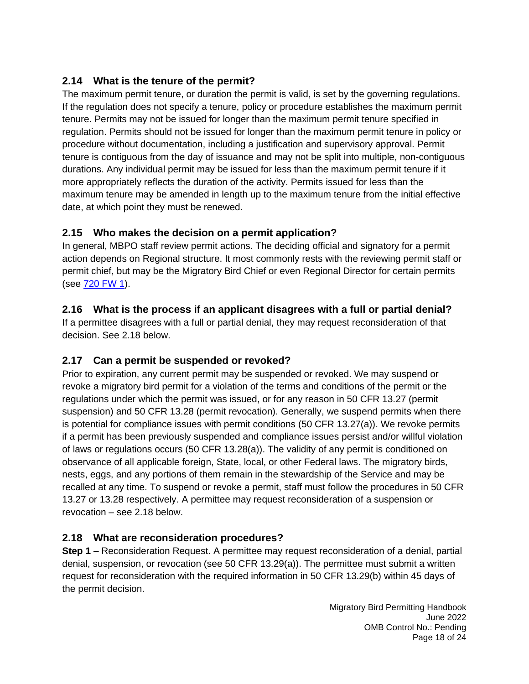## <span id="page-17-0"></span>**2.14 What is the tenure of the permit?**

The maximum permit tenure, or duration the permit is valid, is set by the governing regulations. If the regulation does not specify a tenure, policy or procedure establishes the maximum permit tenure. Permits may not be issued for longer than the maximum permit tenure specified in regulation. Permits should not be issued for longer than the maximum permit tenure in policy or procedure without documentation, including a justification and supervisory approval. Permit tenure is contiguous from the day of issuance and may not be split into multiple, non-contiguous durations. Any individual permit may be issued for less than the maximum permit tenure if it more appropriately reflects the duration of the activity. Permits issued for less than the maximum tenure may be amended in length up to the maximum tenure from the initial effective date, at which point they must be renewed.

## <span id="page-17-1"></span>**2.15 Who makes the decision on a permit application?**

In general, MBPO staff review permit actions. The deciding official and signatory for a permit action depends on Regional structure. It most commonly rests with the reviewing permit staff or permit chief, but may be the Migratory Bird Chief or even Regional Director for certain permits (see 720 [FW 1\)](https://www.fws.gov/policy/720fw1.html).

## <span id="page-17-2"></span>**2.16 What is the process if an applicant disagrees with a full or partial denial?**

If a permittee disagrees with a full or partial denial, they may request reconsideration of that decision. See 2.18 below.

# <span id="page-17-3"></span>**2.17 Can a permit be suspended or revoked?**

Prior to expiration, any current permit may be suspended or revoked. We may suspend or revoke a migratory bird permit for a violation of the terms and conditions of the permit or the regulations under which the permit was issued, or for any reason in 50 CFR 13.27 (permit suspension) and 50 CFR 13.28 (permit revocation). Generally, we suspend permits when there is potential for compliance issues with permit conditions (50 CFR 13.27(a)). We revoke permits if a permit has been previously suspended and compliance issues persist and/or willful violation of laws or regulations occurs (50 CFR 13.28(a)). The validity of any permit is conditioned on observance of all applicable foreign, State, local, or other Federal laws. The migratory birds, nests, eggs, and any portions of them remain in the stewardship of the Service and may be recalled at any time. To suspend or revoke a permit, staff must follow the procedures in 50 CFR 13.27 or 13.28 respectively. A permittee may request reconsideration of a suspension or revocation – see 2.18 below.

# <span id="page-17-4"></span>**2.18 What are reconsideration procedures?**

**Step 1** – Reconsideration Request. A permittee may request reconsideration of a denial, partial denial, suspension, or revocation (see 50 CFR 13.29(a)). The permittee must submit a written request for reconsideration with the required information in 50 CFR 13.29(b) within 45 days of the permit decision.

> Migratory Bird Permitting Handbook June 2022 OMB Control No.: Pending Page 18 of 24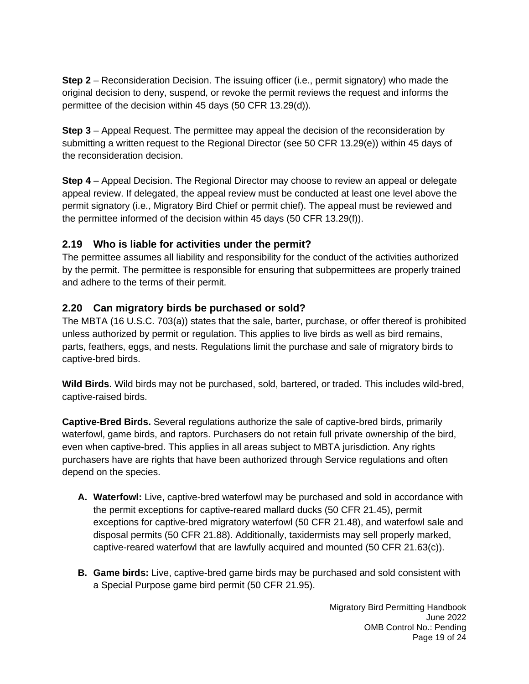**Step 2** – Reconsideration Decision. The issuing officer (i.e., permit signatory) who made the original decision to deny, suspend, or revoke the permit reviews the request and informs the permittee of the decision within 45 days (50 CFR 13.29(d)).

**Step 3** – Appeal Request. The permittee may appeal the decision of the reconsideration by submitting a written request to the Regional Director (see 50 CFR 13.29(e)) within 45 days of the reconsideration decision.

**Step 4** – Appeal Decision. The Regional Director may choose to review an appeal or delegate appeal review. If delegated, the appeal review must be conducted at least one level above the permit signatory (i.e., Migratory Bird Chief or permit chief). The appeal must be reviewed and the permittee informed of the decision within 45 days (50 CFR 13.29(f)).

#### <span id="page-18-0"></span>**2.19 Who is liable for activities under the permit?**

The permittee assumes all liability and responsibility for the conduct of the activities authorized by the permit. The permittee is responsible for ensuring that subpermittees are properly trained and adhere to the terms of their permit.

#### <span id="page-18-1"></span>**2.20 Can migratory birds be purchased or sold?**

The MBTA (16 U.S.C. 703(a)) states that the sale, barter, purchase, or offer thereof is prohibited unless authorized by permit or regulation. This applies to live birds as well as bird remains, parts, feathers, eggs, and nests. Regulations limit the purchase and sale of migratory birds to captive-bred birds.

**Wild Birds.** Wild birds may not be purchased, sold, bartered, or traded. This includes wild-bred, captive-raised birds.

**Captive-Bred Birds.** Several regulations authorize the sale of captive-bred birds, primarily waterfowl, game birds, and raptors. Purchasers do not retain full private ownership of the bird, even when captive-bred. This applies in all areas subject to MBTA jurisdiction. Any rights purchasers have are rights that have been authorized through Service regulations and often depend on the species.

- **A. Waterfowl:** Live, captive-bred waterfowl may be purchased and sold in accordance with the permit exceptions for captive-reared mallard ducks (50 CFR 21.45), permit exceptions for captive-bred migratory waterfowl (50 CFR 21.48), and waterfowl sale and disposal permits (50 CFR 21.88). Additionally, taxidermists may sell properly marked, captive-reared waterfowl that are lawfully acquired and mounted (50 CFR 21.63(c)).
- **B. Game birds:** Live, captive-bred game birds may be purchased and sold consistent with a Special Purpose game bird permit (50 CFR 21.95).

Migratory Bird Permitting Handbook June 2022 OMB Control No.: Pending Page 19 of 24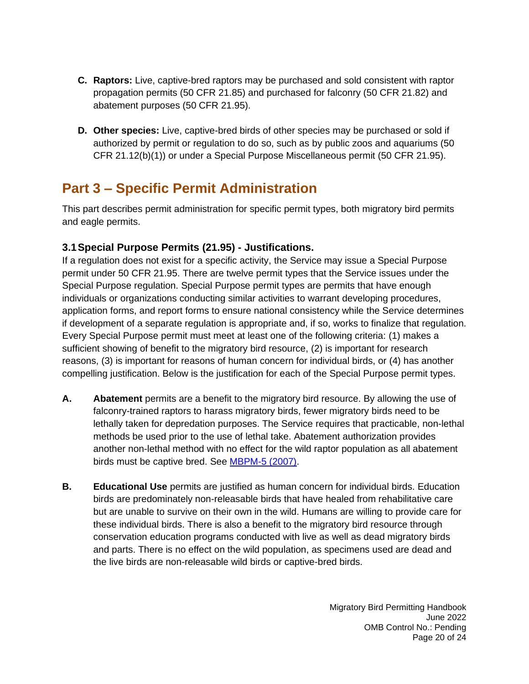- **C. Raptors:** Live, captive-bred raptors may be purchased and sold consistent with raptor propagation permits (50 CFR 21.85) and purchased for falconry (50 CFR 21.82) and abatement purposes (50 CFR 21.95).
- **D. Other species:** Live, captive-bred birds of other species may be purchased or sold if authorized by permit or regulation to do so, such as by public zoos and aquariums (50 CFR 21.12(b)(1)) or under a Special Purpose Miscellaneous permit (50 CFR 21.95).

# <span id="page-19-0"></span>**Part 3 – Specific Permit Administration**

This part describes permit administration for specific permit types, both migratory bird permits and eagle permits.

#### <span id="page-19-1"></span>**3.1Special Purpose Permits (21.95) - Justifications.**

If a regulation does not exist for a specific activity, the Service may issue a Special Purpose permit under 50 CFR 21.95. There are twelve permit types that the Service issues under the Special Purpose regulation. Special Purpose permit types are permits that have enough individuals or organizations conducting similar activities to warrant developing procedures, application forms, and report forms to ensure national consistency while the Service determines if development of a separate regulation is appropriate and, if so, works to finalize that regulation. Every Special Purpose permit must meet at least one of the following criteria: (1) makes a sufficient showing of benefit to the migratory bird resource, (2) is important for research reasons, (3) is important for reasons of human concern for individual birds, or (4) has another compelling justification. Below is the justification for each of the Special Purpose permit types.

- **A. Abatement** permits are a benefit to the migratory bird resource. By allowing the use of falconry-trained raptors to harass migratory birds, fewer migratory birds need to be lethally taken for depredation purposes. The Service requires that practicable, non-lethal methods be used prior to the use of lethal take. Abatement authorization provides another non-lethal method with no effect for the wild raptor population as all abatement birds must be captive bred. See [MBPM-5 \(2007\).](https://www.fws.gov/sites/default/files/documents/migratory-bird-permit-memorandum-abatement-activities-using-raptors.pdf)
- **B. Educational Use** permits are justified as human concern for individual birds. Education birds are predominately non-releasable birds that have healed from rehabilitative care but are unable to survive on their own in the wild. Humans are willing to provide care for these individual birds. There is also a benefit to the migratory bird resource through conservation education programs conducted with live as well as dead migratory birds and parts. There is no effect on the wild population, as specimens used are dead and the live birds are non-releasable wild birds or captive-bred birds.

Migratory Bird Permitting Handbook June 2022 OMB Control No.: Pending Page 20 of 24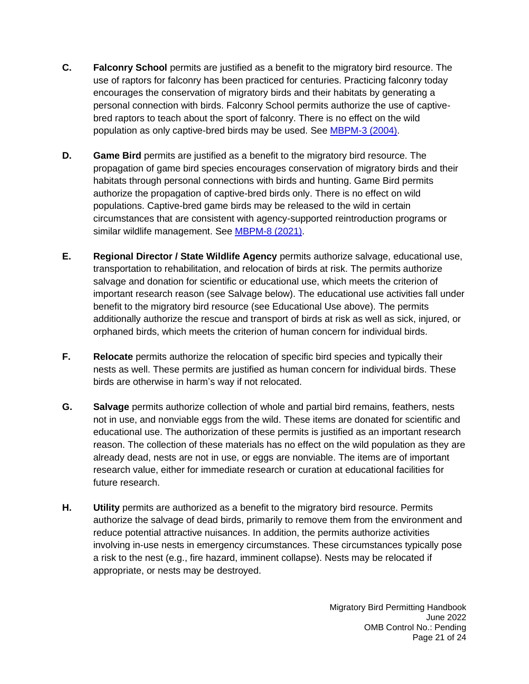- **C. Falconry School** permits are justified as a benefit to the migratory bird resource. The use of raptors for falconry has been practiced for centuries. Practicing falconry today encourages the conservation of migratory birds and their habitats by generating a personal connection with birds. Falconry School permits authorize the use of captivebred raptors to teach about the sport of falconry. There is no effect on the wild population as only captive-bred birds may be used. See [MBPM-3 \(2004\).](https://www.fws.gov/sites/default/files/documents/migratory-bird-permit-memorandum-educational-use-permits-for-falconry-education-programs.pdf)
- **D. Game Bird** permits are justified as a benefit to the migratory bird resource. The propagation of game bird species encourages conservation of migratory birds and their habitats through personal connections with birds and hunting. Game Bird permits authorize the propagation of captive-bred birds only. There is no effect on wild populations. Captive-bred game birds may be released to the wild in certain circumstances that are consistent with agency-supported reintroduction programs or similar wildlife management. See [MBPM-8 \(2021\).](https://www.fws.gov/sites/default/files/documents/migratory-bird-permit-memorandum-intentional-release-of-captive-raised-birds.pdf)
- **E. Regional Director / State Wildlife Agency** permits authorize salvage, educational use, transportation to rehabilitation, and relocation of birds at risk. The permits authorize salvage and donation for scientific or educational use, which meets the criterion of important research reason (see Salvage below). The educational use activities fall under benefit to the migratory bird resource (see Educational Use above). The permits additionally authorize the rescue and transport of birds at risk as well as sick, injured, or orphaned birds, which meets the criterion of human concern for individual birds.
- **F. Relocate** permits authorize the relocation of specific bird species and typically their nests as well. These permits are justified as human concern for individual birds. These birds are otherwise in harm's way if not relocated.
- **G. Salvage** permits authorize collection of whole and partial bird remains, feathers, nests not in use, and nonviable eggs from the wild. These items are donated for scientific and educational use. The authorization of these permits is justified as an important research reason. The collection of these materials has no effect on the wild population as they are already dead, nests are not in use, or eggs are nonviable. The items are of important research value, either for immediate research or curation at educational facilities for future research.
- **H. Utility** permits are authorized as a benefit to the migratory bird resource. Permits authorize the salvage of dead birds, primarily to remove them from the environment and reduce potential attractive nuisances. In addition, the permits authorize activities involving in-use nests in emergency circumstances. These circumstances typically pose a risk to the nest (e.g., fire hazard, imminent collapse). Nests may be relocated if appropriate, or nests may be destroyed.

Migratory Bird Permitting Handbook June 2022 OMB Control No.: Pending Page 21 of 24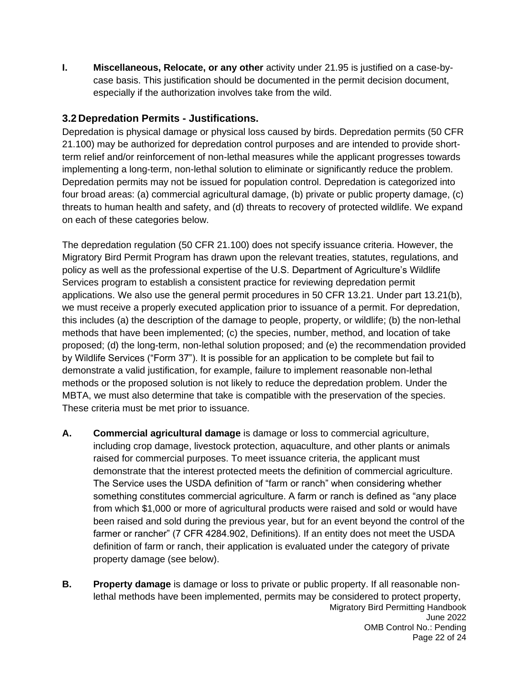**I. Miscellaneous, Relocate, or any other** activity under 21.95 is justified on a case-bycase basis. This justification should be documented in the permit decision document, especially if the authorization involves take from the wild.

#### <span id="page-21-0"></span>**3.2 Depredation Permits - Justifications.**

Depredation is physical damage or physical loss caused by birds. Depredation permits (50 CFR 21.100) may be authorized for depredation control purposes and are intended to provide shortterm relief and/or reinforcement of non-lethal measures while the applicant progresses towards implementing a long-term, non-lethal solution to eliminate or significantly reduce the problem. Depredation permits may not be issued for population control. Depredation is categorized into four broad areas: (a) commercial agricultural damage, (b) private or public property damage, (c) threats to human health and safety, and (d) threats to recovery of protected wildlife. We expand on each of these categories below.

The depredation regulation (50 CFR 21.100) does not specify issuance criteria. However, the Migratory Bird Permit Program has drawn upon the relevant treaties, statutes, regulations, and policy as well as the professional expertise of the U.S. Department of Agriculture's Wildlife Services program to establish a consistent practice for reviewing depredation permit applications. We also use the general permit procedures in 50 CFR 13.21. Under part 13.21(b), we must receive a properly executed application prior to issuance of a permit. For depredation, this includes (a) the description of the damage to people, property, or wildlife; (b) the non-lethal methods that have been implemented; (c) the species, number, method, and location of take proposed; (d) the long-term, non-lethal solution proposed; and (e) the recommendation provided by Wildlife Services ("Form 37"). It is possible for an application to be complete but fail to demonstrate a valid justification, for example, failure to implement reasonable non-lethal methods or the proposed solution is not likely to reduce the depredation problem. Under the MBTA, we must also determine that take is compatible with the preservation of the species. These criteria must be met prior to issuance.

- **A. Commercial agricultural damage** is damage or loss to commercial agriculture, including crop damage, livestock protection, aquaculture, and other plants or animals raised for commercial purposes. To meet issuance criteria, the applicant must demonstrate that the interest protected meets the definition of commercial agriculture. The Service uses the USDA definition of "farm or ranch" when considering whether something constitutes commercial agriculture. A farm or ranch is defined as "any place from which \$1,000 or more of agricultural products were raised and sold or would have been raised and sold during the previous year, but for an event beyond the control of the farmer or rancher" (7 CFR 4284.902, Definitions). If an entity does not meet the USDA definition of farm or ranch, their application is evaluated under the category of private property damage (see below).
- Migratory Bird Permitting Handbook June 2022 OMB Control No.: Pending Page 22 of 24 **B. Property damage** is damage or loss to private or public property. If all reasonable nonlethal methods have been implemented, permits may be considered to protect property,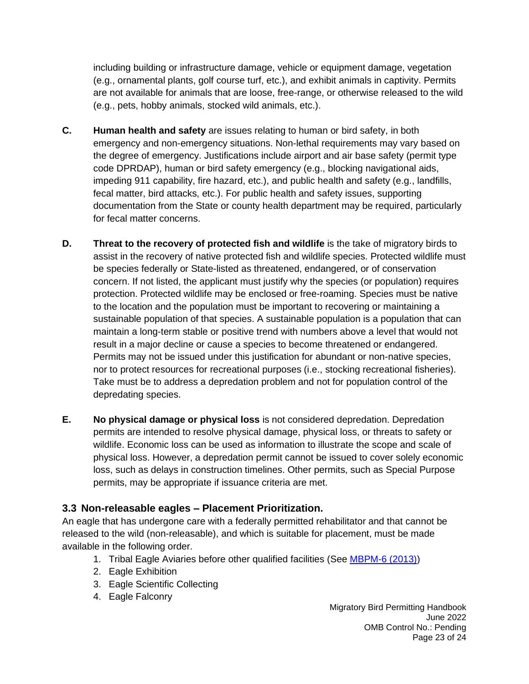including building or infrastructure damage, vehicle or equipment damage, vegetation (e.g., ornamental plants, golf course turf, etc.), and exhibit animals in captivity. Permits are not available for animals that are loose, free-range, or otherwise released to the wild (e.g., pets, hobby animals, stocked wild animals, etc.).

- **C. Human health and safety** are issues relating to human or bird safety, in both emergency and non-emergency situations. Non-lethal requirements may vary based on the degree of emergency. Justifications include airport and air base safety (permit type code DPRDAP), human or bird safety emergency (e.g., blocking navigational aids, impeding 911 capability, fire hazard, etc.), and public health and safety (e.g., landfills, fecal matter, bird attacks, etc.). For public health and safety issues, supporting documentation from the State or county health department may be required, particularly for fecal matter concerns.
- **D.** Threat to the recovery of protected fish and wildlife is the take of migratory birds to assist in the recovery of native protected fish and wildlife species. Protected wildlife must be species federally or State-listed as threatened, endangered, or of conservation concern. If not listed, the applicant must justify why the species (or population) requires protection. Protected wildlife may be enclosed or free-roaming. Species must be native to the location and the population must be important to recovering or maintaining a sustainable population of that species. A sustainable population is a population that can maintain a long-term stable or positive trend with numbers above a level that would not result in a major decline or cause a species to become threatened or endangered. Permits may not be issued under this justification for abundant or non-native species, nor to protect resources for recreational purposes (i.e., stocking recreational fisheries). Take must be to address a depredation problem and not for population control of the depredating species.
- **E. No physical damage or physical loss** is not considered depredation. Depredation permits are intended to resolve physical damage, physical loss, or threats to safety or wildlife. Economic loss can be used as information to illustrate the scope and scale of physical loss. However, a depredation permit cannot be issued to cover solely economic loss, such as delays in construction timelines. Other permits, such as Special Purpose permits, may be appropriate if issuance criteria are met.

#### <span id="page-22-0"></span>**3.3 Non-releasable eagles – Placement Prioritization.**

An eagle that has undergone care with a federally permitted rehabilitator and that cannot be released to the wild (non-releasable), and which is suitable for placement, must be made available in the following order.

- 1. Tribal Eagle Aviaries before other qualified facilities (See [MBPM-6 \(2013\)\)](https://www.fws.gov/sites/default/files/documents/migratory-bird-permit-memorandum-placement-of-live-nonreleaseable-bald-and-golden-eagles.pdf)
- 2. Eagle Exhibition
- 3. Eagle Scientific Collecting
- 4. Eagle Falconry